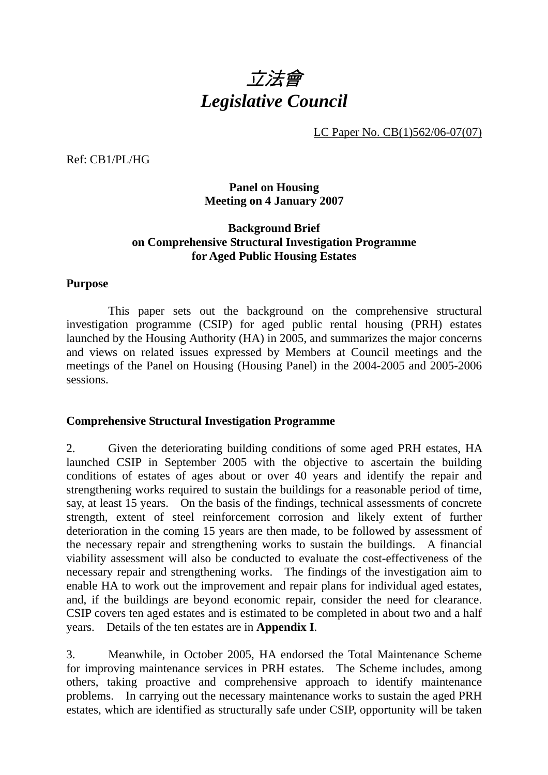

LC Paper No. CB(1)562/06-07(07)

Ref: CB1/PL/HG

### **Panel on Housing Meeting on 4 January 2007**

## **Background Brief on Comprehensive Structural Investigation Programme for Aged Public Housing Estates**

#### **Purpose**

 This paper sets out the background on the comprehensive structural investigation programme (CSIP) for aged public rental housing (PRH) estates launched by the Housing Authority (HA) in 2005, and summarizes the major concerns and views on related issues expressed by Members at Council meetings and the meetings of the Panel on Housing (Housing Panel) in the 2004-2005 and 2005-2006 sessions.

#### **Comprehensive Structural Investigation Programme**

2. Given the deteriorating building conditions of some aged PRH estates, HA launched CSIP in September 2005 with the objective to ascertain the building conditions of estates of ages about or over 40 years and identify the repair and strengthening works required to sustain the buildings for a reasonable period of time, say, at least 15 years. On the basis of the findings, technical assessments of concrete strength, extent of steel reinforcement corrosion and likely extent of further deterioration in the coming 15 years are then made, to be followed by assessment of the necessary repair and strengthening works to sustain the buildings. A financial viability assessment will also be conducted to evaluate the cost-effectiveness of the necessary repair and strengthening works. The findings of the investigation aim to enable HA to work out the improvement and repair plans for individual aged estates, and, if the buildings are beyond economic repair, consider the need for clearance. CSIP covers ten aged estates and is estimated to be completed in about two and a half years. Details of the ten estates are in **Appendix I**.

3. Meanwhile, in October 2005, HA endorsed the Total Maintenance Scheme for improving maintenance services in PRH estates. The Scheme includes, among others, taking proactive and comprehensive approach to identify maintenance problems. In carrying out the necessary maintenance works to sustain the aged PRH estates, which are identified as structurally safe under CSIP, opportunity will be taken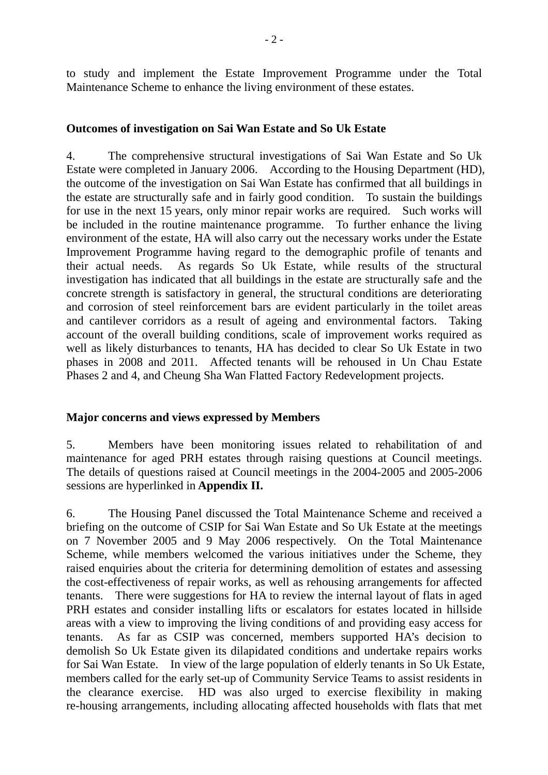to study and implement the Estate Improvement Programme under the Total Maintenance Scheme to enhance the living environment of these estates.

#### **Outcomes of investigation on Sai Wan Estate and So Uk Estate**

4. The comprehensive structural investigations of Sai Wan Estate and So Uk Estate were completed in January 2006. According to the Housing Department (HD), the outcome of the investigation on Sai Wan Estate has confirmed that all buildings in the estate are structurally safe and in fairly good condition. To sustain the buildings for use in the next 15 years, only minor repair works are required. Such works will be included in the routine maintenance programme. To further enhance the living environment of the estate, HA will also carry out the necessary works under the Estate Improvement Programme having regard to the demographic profile of tenants and their actual needs. As regards So Uk Estate, while results of the structural investigation has indicated that all buildings in the estate are structurally safe and the concrete strength is satisfactory in general, the structural conditions are deteriorating and corrosion of steel reinforcement bars are evident particularly in the toilet areas and cantilever corridors as a result of ageing and environmental factors. Taking account of the overall building conditions, scale of improvement works required as well as likely disturbances to tenants, HA has decided to clear So Uk Estate in two phases in 2008 and 2011. Affected tenants will be rehoused in Un Chau Estate Phases 2 and 4, and Cheung Sha Wan Flatted Factory Redevelopment projects.

#### **Major concerns and views expressed by Members**

5. Members have been monitoring issues related to rehabilitation of and maintenance for aged PRH estates through raising questions at Council meetings. The details of questions raised at Council meetings in the 2004-2005 and 2005-2006 sessions are hyperlinked in **Appendix II.** 

6. The Housing Panel discussed the Total Maintenance Scheme and received a briefing on the outcome of CSIP for Sai Wan Estate and So Uk Estate at the meetings on 7 November 2005 and 9 May 2006 respectively. On the Total Maintenance Scheme, while members welcomed the various initiatives under the Scheme, they raised enquiries about the criteria for determining demolition of estates and assessing the cost-effectiveness of repair works, as well as rehousing arrangements for affected tenants. There were suggestions for HA to review the internal layout of flats in aged PRH estates and consider installing lifts or escalators for estates located in hillside areas with a view to improving the living conditions of and providing easy access for tenants. As far as CSIP was concerned, members supported HA's decision to demolish So Uk Estate given its dilapidated conditions and undertake repairs works for Sai Wan Estate. In view of the large population of elderly tenants in So Uk Estate, members called for the early set-up of Community Service Teams to assist residents in the clearance exercise. HD was also urged to exercise flexibility in making re-housing arrangements, including allocating affected households with flats that met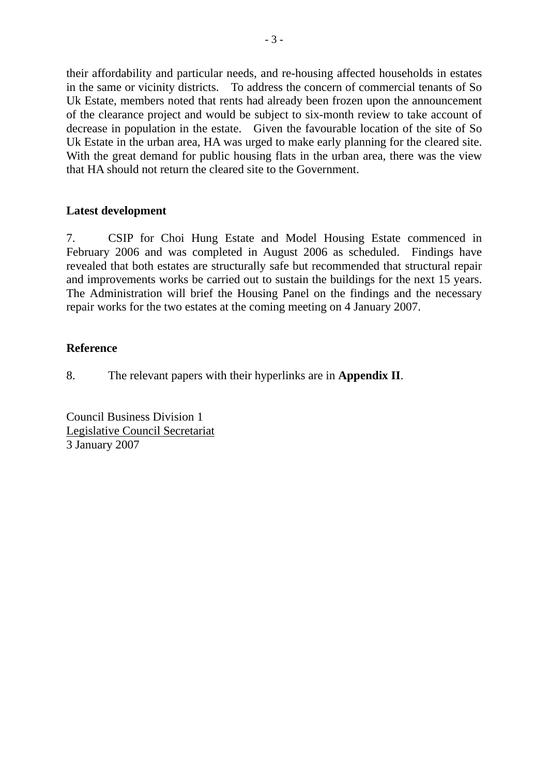their affordability and particular needs, and re-housing affected households in estates in the same or vicinity districts. To address the concern of commercial tenants of So Uk Estate, members noted that rents had already been frozen upon the announcement of the clearance project and would be subject to six-month review to take account of decrease in population in the estate. Given the favourable location of the site of So Uk Estate in the urban area, HA was urged to make early planning for the cleared site. With the great demand for public housing flats in the urban area, there was the view that HA should not return the cleared site to the Government.

## **Latest development**

7. CSIP for Choi Hung Estate and Model Housing Estate commenced in February 2006 and was completed in August 2006 as scheduled. Findings have revealed that both estates are structurally safe but recommended that structural repair and improvements works be carried out to sustain the buildings for the next 15 years. The Administration will brief the Housing Panel on the findings and the necessary repair works for the two estates at the coming meeting on 4 January 2007.

## **Reference**

8. The relevant papers with their hyperlinks are in **Appendix II**.

Council Business Division 1 Legislative Council Secretariat 3 January 2007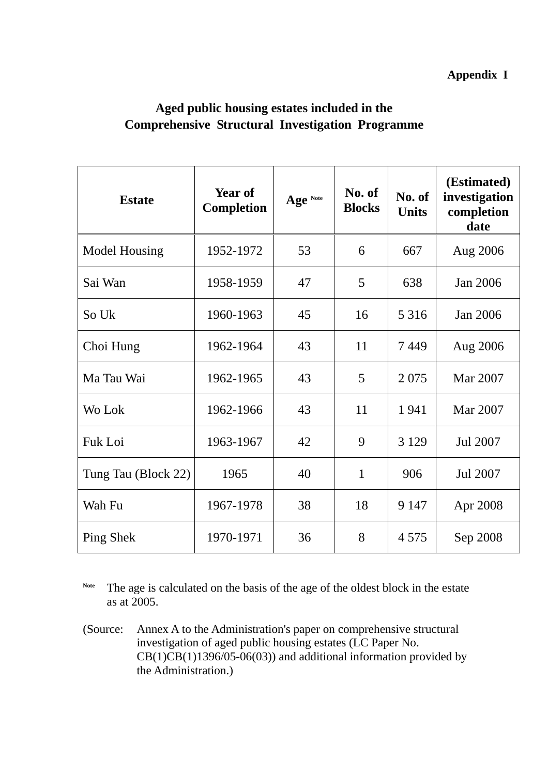## **Aged public housing estates included in the Comprehensive Structural Investigation Programme**

| <b>Estate</b>       | Year of<br><b>Completion</b> | Age Note | No. of<br><b>Blocks</b> | No. of<br><b>Units</b> | (Estimated)<br>investigation<br>completion<br>date |
|---------------------|------------------------------|----------|-------------------------|------------------------|----------------------------------------------------|
| Model Housing       | 1952-1972                    | 53       | 6                       | 667                    | Aug 2006                                           |
| Sai Wan             | 1958-1959                    | 47       | 5                       | 638                    | Jan 2006                                           |
| So Uk               | 1960-1963                    | 45       | 16                      | 5 3 1 6                | Jan 2006                                           |
| Choi Hung           | 1962-1964                    | 43       | 11                      | 7449                   | Aug 2006                                           |
| Ma Tau Wai          | 1962-1965                    | 43       | 5                       | 2 0 7 5                | Mar 2007                                           |
| Wo Lok              | 1962-1966                    | 43       | 11                      | 1941                   | Mar 2007                                           |
| Fuk Loi             | 1963-1967                    | 42       | 9                       | 3 1 2 9                | Jul 2007                                           |
| Tung Tau (Block 22) | 1965                         | 40       | $\mathbf{1}$            | 906                    | Jul 2007                                           |
| Wah Fu              | 1967-1978                    | 38       | 18                      | 9 1 4 7                | Apr 2008                                           |
| Ping Shek           | 1970-1971                    | 36       | 8                       | 4 5 7 5                | Sep 2008                                           |

Note The age is calculated on the basis of the age of the oldest block in the estate as at 2005.

(Source: Annex A to the Administration's paper on comprehensive structural investigation of aged public housing estates (LC Paper No.  $CB(1)CB(1)1396/05-06(03))$  and additional information provided by the Administration.)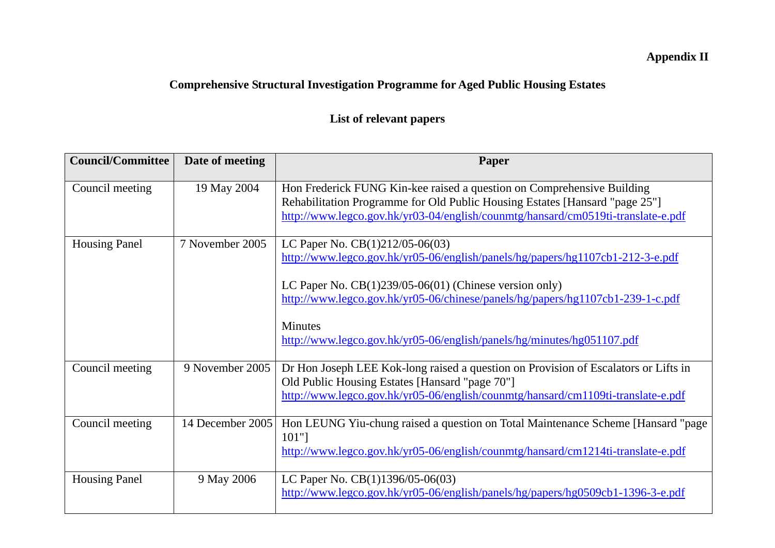# **Appendix II**

# **Comprehensive Structural Investigation Programme for Aged Public Housing Estates**

# **List of relevant papers**

| <b>Council/Committee</b>         | Date of meeting  | Paper                                                                                                                                                                                                                                     |
|----------------------------------|------------------|-------------------------------------------------------------------------------------------------------------------------------------------------------------------------------------------------------------------------------------------|
| Council meeting                  | 19 May 2004      | Hon Frederick FUNG Kin-kee raised a question on Comprehensive Building<br>Rehabilitation Programme for Old Public Housing Estates [Hansard "page 25"]<br>http://www.legco.gov.hk/yr03-04/english/counmtg/hansard/cm0519ti-translate-e.pdf |
| Housing Panel<br>7 November 2005 |                  | LC Paper No. $CB(1)212/05-06(03)$<br>http://www.legco.gov.hk/yr05-06/english/panels/hg/papers/hg1107cb1-212-3-e.pdf                                                                                                                       |
|                                  |                  | LC Paper No. $CB(1)239/05-06(01)$ (Chinese version only)<br>http://www.legco.gov.hk/yr05-06/chinese/panels/hg/papers/hg1107cb1-239-1-c.pdf                                                                                                |
|                                  |                  | <b>Minutes</b><br>http://www.legco.gov.hk/yr05-06/english/panels/hg/minutes/hg051107.pdf                                                                                                                                                  |
| Council meeting                  | 9 November 2005  | Dr Hon Joseph LEE Kok-long raised a question on Provision of Escalators or Lifts in<br>Old Public Housing Estates [Hansard "page 70"]<br>http://www.legco.gov.hk/yr05-06/english/counmtg/hansard/cm1109ti-translate-e.pdf                 |
| Council meeting                  | 14 December 2005 | Hon LEUNG Yiu-chung raised a question on Total Maintenance Scheme [Hansard "page<br>$101"$ ]<br>http://www.legco.gov.hk/yr05-06/english/counmtg/hansard/cm1214ti-translate-e.pdf                                                          |
| <b>Housing Panel</b>             | 9 May 2006       | LC Paper No. $CB(1)1396/05-06(03)$<br>http://www.legco.gov.hk/yr05-06/english/panels/hg/papers/hg0509cb1-1396-3-e.pdf                                                                                                                     |